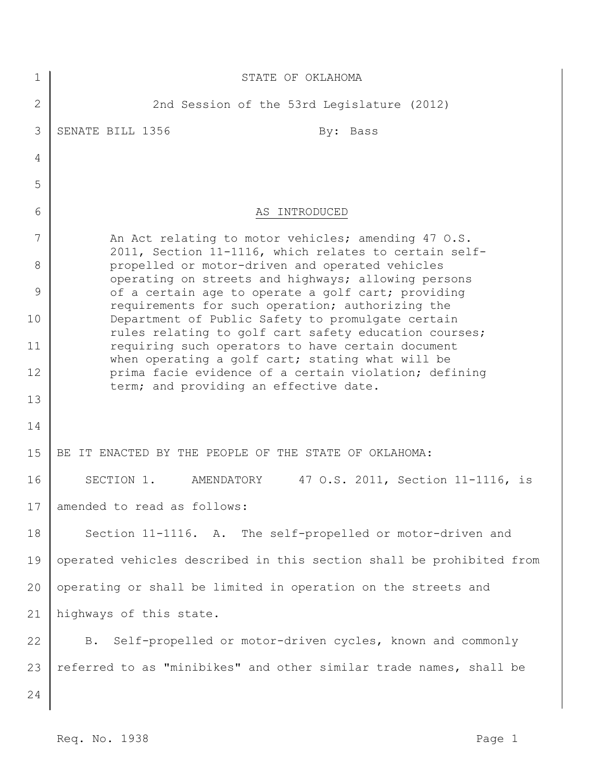| STATE OF OKLAHOMA                                                                                            |
|--------------------------------------------------------------------------------------------------------------|
| 2nd Session of the 53rd Legislature (2012)                                                                   |
| SENATE BILL 1356<br>By: Bass                                                                                 |
|                                                                                                              |
|                                                                                                              |
| AS INTRODUCED                                                                                                |
| An Act relating to motor vehicles; amending 47 O.S.<br>2011, Section 11-1116, which relates to certain self- |
| propelled or motor-driven and operated vehicles<br>operating on streets and highways; allowing persons       |
| of a certain age to operate a golf cart; providing<br>requirements for such operation; authorizing the       |
| Department of Public Safety to promulgate certain<br>rules relating to golf cart safety education courses;   |
| requiring such operators to have certain document<br>when operating a golf cart; stating what will be        |
| prima facie evidence of a certain violation; defining<br>term; and providing an effective date.              |
|                                                                                                              |
|                                                                                                              |
| BE IT ENACTED BY THE PEOPLE OF THE STATE OF OKLAHOMA:                                                        |
| SECTION 1.<br>47 O.S. 2011, Section 11-1116, is<br>AMENDATORY                                                |
| amended to read as follows:                                                                                  |
| Section 11-1116. A. The self-propelled or motor-driven and                                                   |
| operated vehicles described in this section shall be prohibited from                                         |
| operating or shall be limited in operation on the streets and                                                |
| highways of this state.                                                                                      |
| Self-propelled or motor-driven cycles, known and commonly<br><b>B</b> .                                      |
| referred to as "minibikes" and other similar trade names, shall be                                           |
|                                                                                                              |
|                                                                                                              |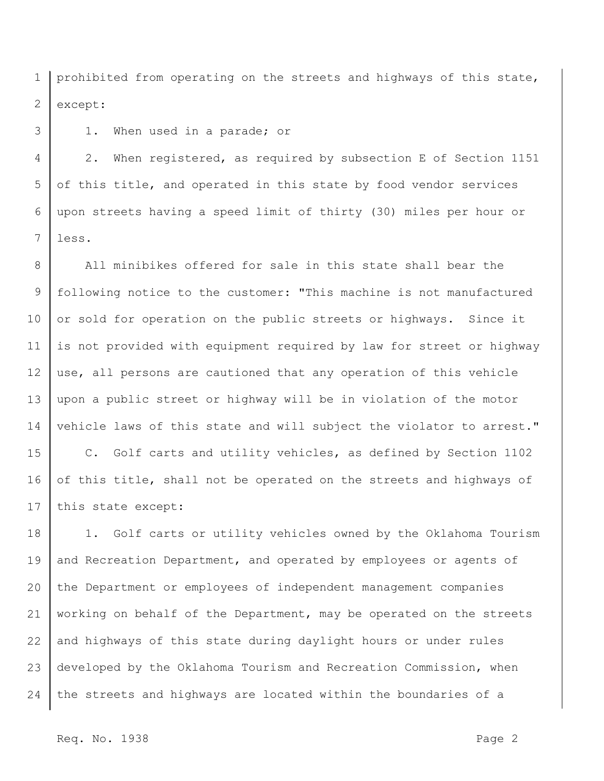1 2 prohibited from operating on the streets and highways of this state, except:

1. When used in a parade; or

3

4 5 6 7 2. When registered, as required by subsection E of Section 1151 of this title, and operated in this state by food vendor services upon streets having a speed limit of thirty (30) miles per hour or less.

8 9 10 11 12 13 14 All minibikes offered for sale in this state shall bear the following notice to the customer: "This machine is not manufactured or sold for operation on the public streets or highways. Since it is not provided with equipment required by law for street or highway use, all persons are cautioned that any operation of this vehicle upon a public street or highway will be in violation of the motor vehicle laws of this state and will subject the violator to arrest."

15 16 17 C. Golf carts and utility vehicles, as defined by Section 1102 of this title, shall not be operated on the streets and highways of this state except:

18 19 20 21 22 23 24 1. Golf carts or utility vehicles owned by the Oklahoma Tourism and Recreation Department, and operated by employees or agents of the Department or employees of independent management companies working on behalf of the Department, may be operated on the streets and highways of this state during daylight hours or under rules developed by the Oklahoma Tourism and Recreation Commission, when the streets and highways are located within the boundaries of a

Req. No. 1938 Page 2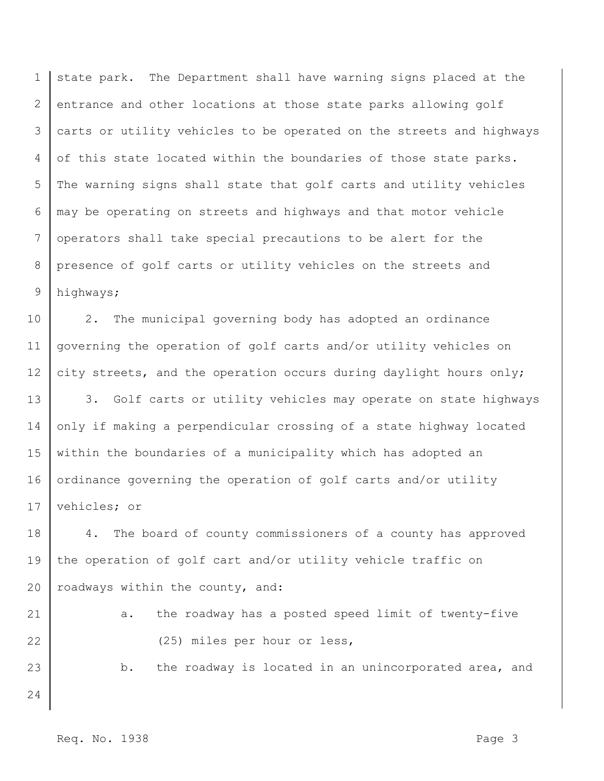1 2 3 4 5 6 7 8 9 state park. The Department shall have warning signs placed at the entrance and other locations at those state parks allowing golf carts or utility vehicles to be operated on the streets and highways of this state located within the boundaries of those state parks. The warning signs shall state that golf carts and utility vehicles may be operating on streets and highways and that motor vehicle operators shall take special precautions to be alert for the presence of golf carts or utility vehicles on the streets and highways;

10 11 12 2. The municipal governing body has adopted an ordinance governing the operation of golf carts and/or utility vehicles on city streets, and the operation occurs during daylight hours only;

13 14 15 16 17 3. Golf carts or utility vehicles may operate on state highways only if making a perpendicular crossing of a state highway located within the boundaries of a municipality which has adopted an ordinance governing the operation of golf carts and/or utility vehicles; or

18 19 20 4. The board of county commissioners of a county has approved the operation of golf cart and/or utility vehicle traffic on roadways within the county, and:

21 22 a. the roadway has a posted speed limit of twenty-five (25) miles per hour or less,

b. the roadway is located in an unincorporated area, and

24

23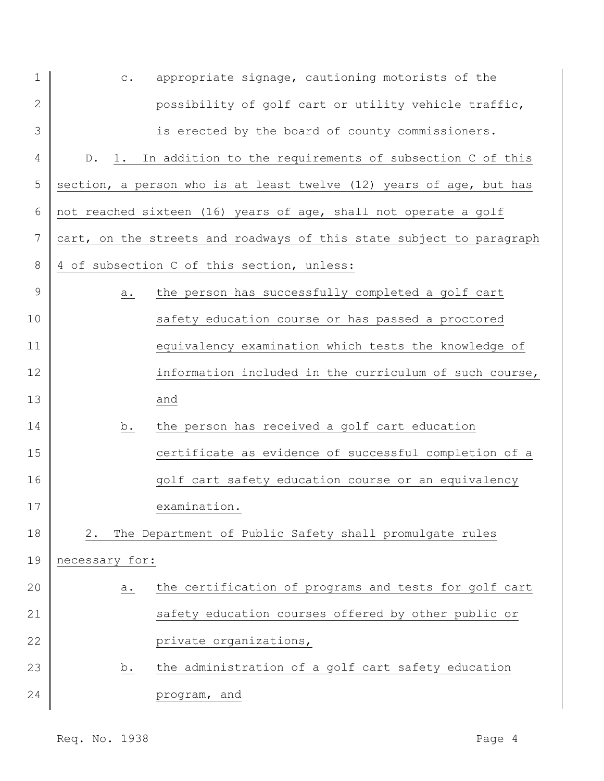| $\mathbf 1$    | appropriate signage, cautioning motorists of the<br>$\mathtt{C}$ .          |  |
|----------------|-----------------------------------------------------------------------------|--|
| $\mathbf{2}$   | possibility of golf cart or utility vehicle traffic,                        |  |
| 3              | is erected by the board of county commissioners.                            |  |
| 4              | 1. In addition to the requirements of subsection C of this<br>$D_{\bullet}$ |  |
| 5              | section, a person who is at least twelve (12) years of age, but has         |  |
| 6              | not reached sixteen (16) years of age, shall not operate a golf             |  |
| $\overline{7}$ | cart, on the streets and roadways of this state subject to paragraph        |  |
| 8              | 4 of subsection C of this section, unless:                                  |  |
| 9              | the person has successfully completed a golf cart<br>a.                     |  |
| 10             | safety education course or has passed a proctored                           |  |
| 11             | equivalency examination which tests the knowledge of                        |  |
| 12             | information included in the curriculum of such course,                      |  |
| 13             | and                                                                         |  |
| 14             | the person has received a golf cart education<br>b.                         |  |
| 15             | certificate as evidence of successful completion of a                       |  |
| 16             | golf cart safety education course or an equivalency                         |  |
|                | examination.<br>17                                                          |  |
| 18             | The Department of Public Safety shall promulgate rules<br>2.                |  |
| 19             | necessary for:                                                              |  |
| 20             | the certification of programs and tests for golf cart<br>a.                 |  |
| 21             | safety education courses offered by other public or                         |  |
| 22             | private organizations,                                                      |  |
| 23             | the administration of a golf cart safety education<br>b.                    |  |
| 24             | program, and                                                                |  |
|                |                                                                             |  |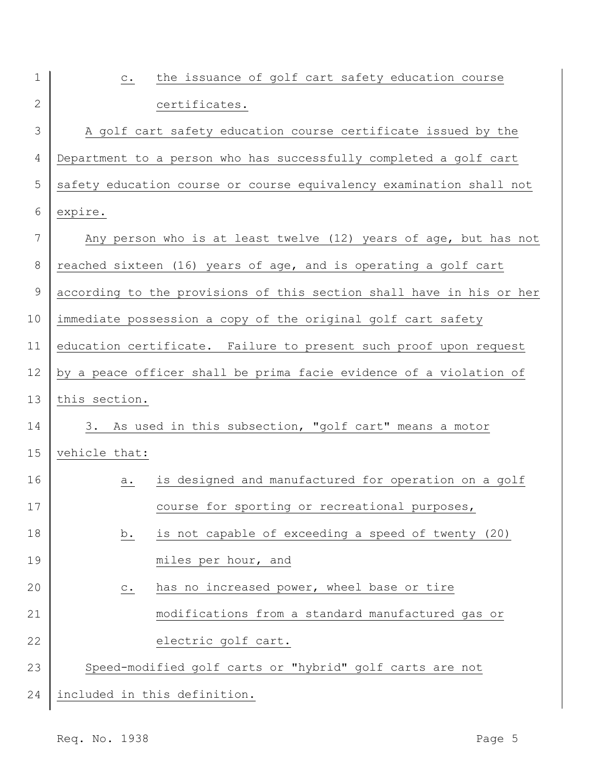| $\mathbf 1$    | the issuance of golf cart safety education course<br>$\circ$ .       |
|----------------|----------------------------------------------------------------------|
| 2              | certificates.                                                        |
| 3              | A golf cart safety education course certificate issued by the        |
| $\overline{4}$ | Department to a person who has successfully completed a golf cart    |
| 5              | safety education course or course equivalency examination shall not  |
| 6              | expire.                                                              |
| 7              | Any person who is at least twelve (12) years of age, but has not     |
| 8              | reached sixteen (16) years of age, and is operating a golf cart      |
| $\mathcal{G}$  | according to the provisions of this section shall have in his or her |
| 10             | immediate possession a copy of the original golf cart safety         |
| 11             | education certificate. Failure to present such proof upon request    |
| 12             | by a peace officer shall be prima facie evidence of a violation of   |
| 13             | this section.                                                        |
| 14             | 3. As used in this subsection, "golf cart" means a motor             |
| 15             | vehicle that:                                                        |
| 16             | is designed and manufactured for operation on a golf<br>а.           |
| 17             | course for sporting or recreational purposes,                        |
| 18             | is not capable of exceeding a speed of twenty (20)<br>b.             |
| 19             | miles per hour, and                                                  |
| 20             | has no increased power, wheel base or tire<br>$\mathtt{C}$ .         |
| 21             | modifications from a standard manufactured gas or                    |
| 22             | electric golf cart.                                                  |
| 23             | Speed-modified golf carts or "hybrid" golf carts are not             |
| 24             | included in this definition.                                         |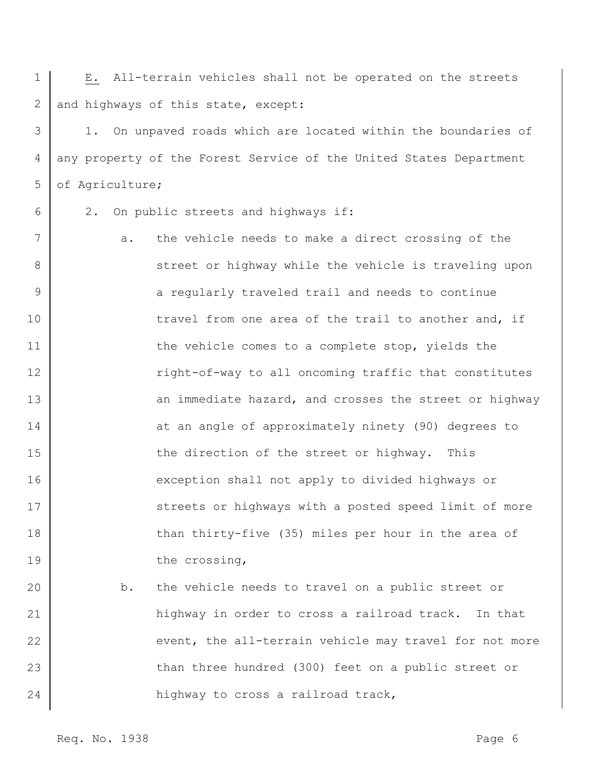1 2 E. All-terrain vehicles shall not be operated on the streets and highways of this state, except:

3 4 5 1. On unpaved roads which are located within the boundaries of any property of the Forest Service of the United States Department of Agriculture;

6

2. On public streets and highways if:

7 8 9 10 11 12 13 14 15 16 17 18 19 a. the vehicle needs to make a direct crossing of the street or highway while the vehicle is traveling upon a regularly traveled trail and needs to continue travel from one area of the trail to another and, if the vehicle comes to a complete stop, yields the right-of-way to all oncoming traffic that constitutes an immediate hazard, and crosses the street or highway at an angle of approximately ninety (90) degrees to the direction of the street or highway. This exception shall not apply to divided highways or streets or highways with a posted speed limit of more than thirty-five (35) miles per hour in the area of the crossing,

20 21 22 23 24 b. the vehicle needs to travel on a public street or highway in order to cross a railroad track. In that event, the all-terrain vehicle may travel for not more than three hundred (300) feet on a public street or highway to cross a railroad track,